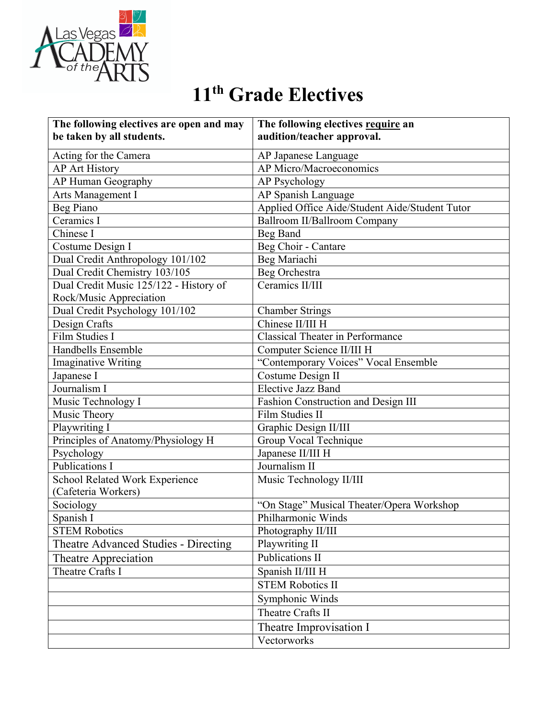

## **11th Grade Electives**

| The following electives are open and may | The following electives require an             |
|------------------------------------------|------------------------------------------------|
| be taken by all students.                | audition/teacher approval.                     |
| Acting for the Camera                    | AP Japanese Language                           |
| <b>AP Art History</b>                    | AP Micro/Macroeconomics                        |
| AP Human Geography                       | AP Psychology                                  |
| Arts Management I                        | AP Spanish Language                            |
| Beg Piano                                | Applied Office Aide/Student Aide/Student Tutor |
| Ceramics I                               | Ballroom II/Ballroom Company                   |
| Chinese I                                | Beg Band                                       |
| Costume Design I                         | Beg Choir - Cantare                            |
| Dual Credit Anthropology 101/102         | Beg Mariachi                                   |
| Dual Credit Chemistry 103/105            | Beg Orchestra                                  |
| Dual Credit Music 125/122 - History of   | Ceramics II/III                                |
| Rock/Music Appreciation                  |                                                |
| Dual Credit Psychology 101/102           | <b>Chamber Strings</b>                         |
| Design Crafts                            | Chinese II/III H                               |
| Film Studies I                           | <b>Classical Theater in Performance</b>        |
| Handbells Ensemble                       | Computer Science II/III H                      |
| <b>Imaginative Writing</b>               | "Contemporary Voices" Vocal Ensemble           |
| Japanese I                               | Costume Design II                              |
| Journalism I                             | <b>Elective Jazz Band</b>                      |
| Music Technology I                       | Fashion Construction and Design III            |
| Music Theory                             | Film Studies II                                |
| Playwriting I                            | Graphic Design II/III                          |
| Principles of Anatomy/Physiology H       | Group Vocal Technique                          |
| Psychology                               | Japanese II/III H                              |
| <b>Publications I</b>                    | Journalism II                                  |
| School Related Work Experience           | Music Technology II/III                        |
| (Cafeteria Workers)                      |                                                |
| Sociology                                | "On Stage" Musical Theater/Opera Workshop      |
| Spanish I                                | Philharmonic Winds                             |
| <b>STEM Robotics</b>                     | Photography II/III                             |
| Theatre Advanced Studies - Directing     | Playwriting II                                 |
| Theatre Appreciation                     | Publications II                                |
| Theatre Crafts I                         | Spanish II/III H                               |
|                                          | <b>STEM Robotics II</b>                        |
|                                          | Symphonic Winds                                |
|                                          | Theatre Crafts II                              |
|                                          | Theatre Improvisation I                        |
|                                          | Vectorworks                                    |